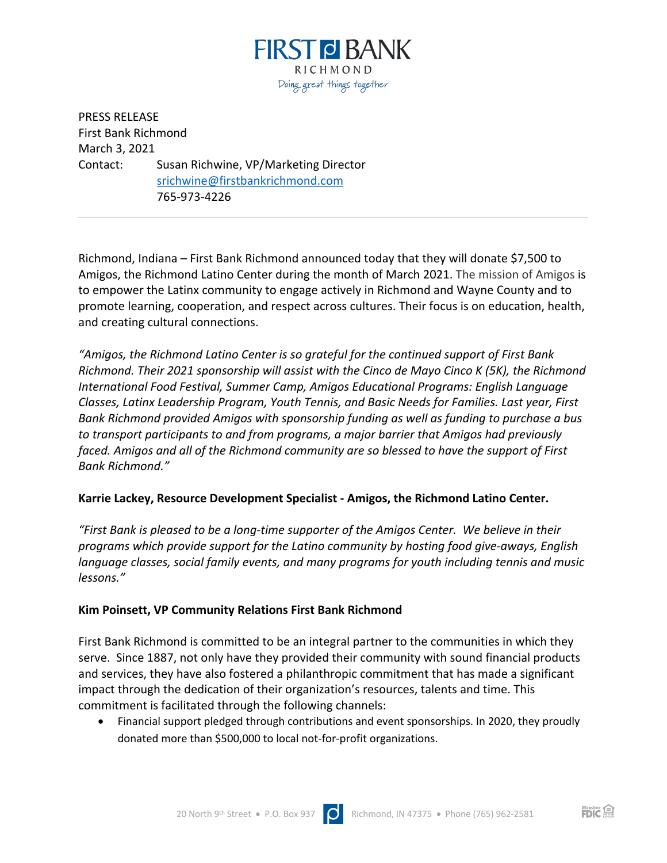

PRESS RELEASE First Bank Richmond March 3, 2021 Contact: Susan Richwine, VP/Marketing Director srichwine@firstbankrichmond.com 765-973-4226

Richmond, Indiana – First Bank Richmond announced today that they will donate \$7,500 to Amigos, the Richmond Latino Center during the month of March 2021. The mission of Amigos is to empower the Latinx community to engage actively in Richmond and Wayne County and to promote learning, cooperation, and respect across cultures. Their focus is on education, health, and creating cultural connections.

*"Amigos, the Richmond Latino Center is so grateful for the continued support of First Bank Richmond. Their 2021 sponsorship will assist with the Cinco de Mayo Cinco K (5K), the Richmond International Food Festival, Summer Camp, Amigos Educational Programs: English Language Classes, Latinx Leadership Program, Youth Tennis, and Basic Needs for Families. Last year, First Bank Richmond provided Amigos with sponsorship funding as well as funding to purchase a bus to transport participants to and from programs, a major barrier that Amigos had previously faced. Amigos and all of the Richmond community are so blessed to have the support of First Bank Richmond."* 

## **Karrie Lackey, Resource Development Specialist - Amigos, the Richmond Latino Center.**

*"First Bank is pleased to be a long-time supporter of the Amigos Center. We believe in their programs which provide support for the Latino community by hosting food give-aways, English language classes, social family events, and many programs for youth including tennis and music lessons."*

## **Kim Poinsett, VP Community Relations First Bank Richmond**

First Bank Richmond is committed to be an integral partner to the communities in which they serve. Since 1887, not only have they provided their community with sound financial products and services, they have also fostered a philanthropic commitment that has made a significant impact through the dedication of their organization's resources, talents and time. This commitment is facilitated through the following channels:

• Financial support pledged through contributions and event sponsorships. In 2020, they proudly donated more than \$500,000 to local not-for-profit organizations.